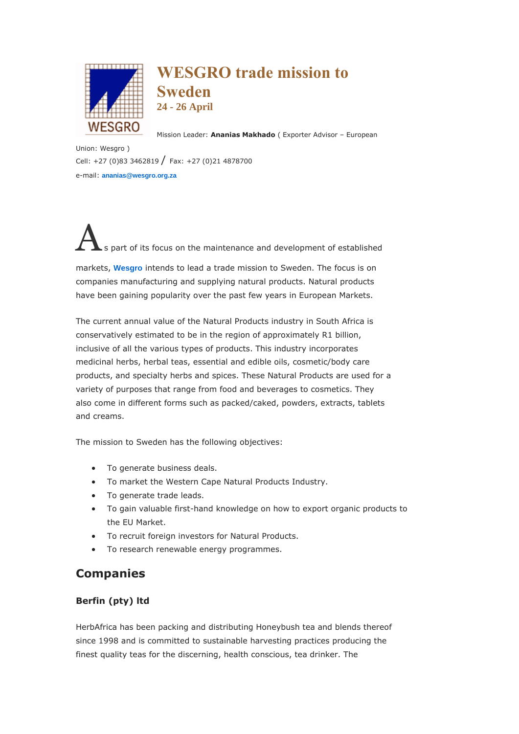

# **WESGRO trade mission to Sweden 24 - 26 April**

Mission Leader: **Ananias Makhado** ( Exporter Advisor – European

Union: Wesgro ) Cell: +27 (0)83 3462819 / Fax: +27 (0)21 4878700 e-mail: **[ananias@wesgro.org.za](mailto:ananias@wesgro.org.za)**

s part of its focus on the maintenance and development of established markets, **[Wesgro](http://www.wesgro.org.za/)** intends to lead a trade mission to Sweden. The focus is on companies manufacturing and supplying natural products. Natural products have been gaining popularity over the past few years in European Markets.

The current annual value of the Natural Products industry in South Africa is conservatively estimated to be in the region of approximately R1 billion, inclusive of all the various types of products. This industry incorporates medicinal herbs, herbal teas, essential and edible oils, cosmetic/body care products, and specialty herbs and spices. These Natural Products are used for a variety of purposes that range from food and beverages to cosmetics. They also come in different forms such as packed/caked, powders, extracts, tablets and creams.

The mission to Sweden has the following objectives:

- To generate business deals.
- To market the Western Cape Natural Products Industry.
- To generate trade leads.
- To gain valuable first-hand knowledge on how to export organic products to the EU Market.
- To recruit foreign investors for Natural Products.
- To research renewable energy programmes.

# **Companies**

## **Berfin (pty) ltd**

HerbAfrica has been packing and distributing Honeybush tea and blends thereof since 1998 and is committed to sustainable harvesting practices producing the finest quality teas for the discerning, health conscious, tea drinker. The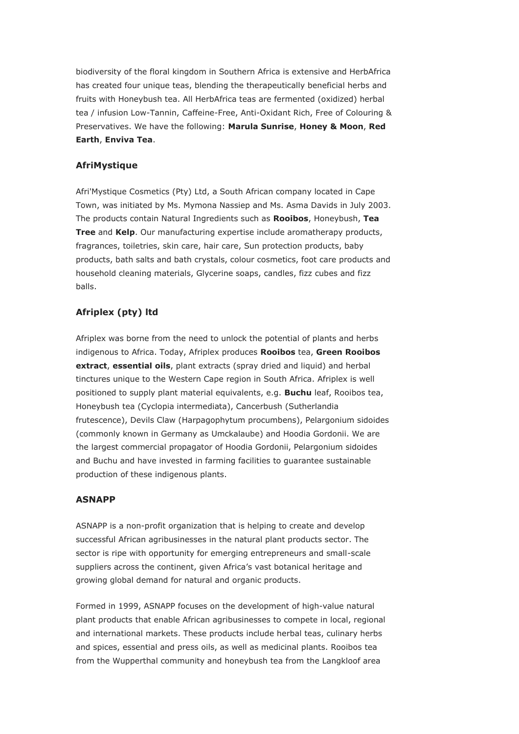biodiversity of the floral kingdom in Southern Africa is extensive and HerbAfrica has created four unique teas, blending the therapeutically beneficial herbs and fruits with Honeybush tea. All HerbAfrica teas are fermented (oxidized) herbal tea / infusion Low-Tannin, Caffeine-Free, Anti-Oxidant Rich, Free of Colouring & Preservatives. We have the following: **Marula Sunrise**, **Honey & Moon**, **Red Earth**, **Enviva Tea**.

#### **AfriMystique**

Afri'Mystique Cosmetics (Pty) Ltd, a South African company located in Cape Town, was initiated by Ms. Mymona Nassiep and Ms. Asma Davids in July 2003. The products contain Natural Ingredients such as **Rooibos**, Honeybush, **Tea Tree** and **Kelp**. Our manufacturing expertise include aromatherapy products, fragrances, toiletries, skin care, hair care, Sun protection products, baby products, bath salts and bath crystals, colour cosmetics, foot care products and household cleaning materials, Glycerine soaps, candles, fizz cubes and fizz balls.

## **Afriplex (pty) ltd**

Afriplex was borne from the need to unlock the potential of plants and herbs indigenous to Africa. Today, Afriplex produces **Rooibos** tea, **Green Rooibos extract**, **essential oils**, plant extracts (spray dried and liquid) and herbal tinctures unique to the Western Cape region in South Africa. Afriplex is well positioned to supply plant material equivalents, e.g. **Buchu** leaf, Rooibos tea, Honeybush tea (Cyclopia intermediata), Cancerbush (Sutherlandia frutescence), Devils Claw (Harpagophytum procumbens), Pelargonium sidoides (commonly known in Germany as Umckalaube) and Hoodia Gordonii. We are the largest commercial propagator of Hoodia Gordonii, Pelargonium sidoides and Buchu and have invested in farming facilities to guarantee sustainable production of these indigenous plants.

#### **ASNAPP**

ASNAPP is a non-profit organization that is helping to create and develop successful African agribusinesses in the natural plant products sector. The sector is ripe with opportunity for emerging entrepreneurs and small-scale suppliers across the continent, given Africa's vast botanical heritage and growing global demand for natural and organic products.

Formed in 1999, ASNAPP focuses on the development of high-value natural plant products that enable African agribusinesses to compete in local, regional and international markets. These products include herbal teas, culinary herbs and spices, essential and press oils, as well as medicinal plants. Rooibos tea from the Wupperthal community and honeybush tea from the Langkloof area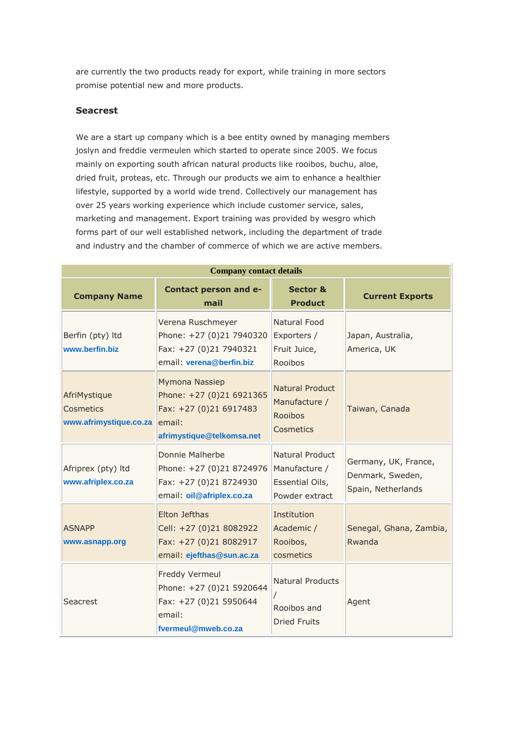are currently the two products ready for export, while training in more sectors promise potential new and more products.

#### **Seacrest**

We are a start up company which is a bee entity owned by managing members joslyn and freddie vermeulen which started to operate since 2005. We focus mainly on exporting south african natural products like rooibos, buchu, aloe, dried fruit, proteas, etc. Through our products we aim to enhance a healthier lifestyle, supported by a world wide trend. Collectively our management has over 25 years working experience which include customer service, sales, marketing and management. Export training was provided by wesgro which forms part of our well established network, including the department of trade and industry and the chamber of commerce of which we are active members.

| <b>Company contact details</b>                      |                                                                                                             |                                                                       |                                                                |
|-----------------------------------------------------|-------------------------------------------------------------------------------------------------------------|-----------------------------------------------------------------------|----------------------------------------------------------------|
| <b>Company Name</b>                                 | Contact person and e-<br>mail                                                                               | <b>Sector &amp;</b><br><b>Product</b>                                 | <b>Current Exports</b>                                         |
| Berfin (pty) Itd<br>www.berfin.biz                  | Verena Ruschmeyer<br>Phone: +27 (0)21 7940320<br>Fax: +27 (0)21 7940321<br>email: verena@berfin.biz         | Natural Food<br>Exporters /<br>Fruit Juice,<br>Rooibos                | Japan, Australia,<br>America, UK                               |
| AfriMystique<br>Cosmetics<br>www.afrimystique.co.za | Mymona Nassiep<br>Phone: +27 (0)21 6921365<br>Fax: +27 (0)21 6917483<br>email:<br>afrimystique@telkomsa.net | <b>Natural Product</b><br>Manufacture /<br>Rooibos<br>Cosmetics       | Taiwan, Canada                                                 |
| Afriprex (pty) Itd<br>www.afriplex.co.za            | Donnie Malherbe<br>Phone: +27 (0)21 8724976<br>Fax: +27 (0)21 8724930<br>email: oil@afriplex.co.za          | Natural Product<br>Manufacture /<br>Essential Oils,<br>Powder extract | Germany, UK, France,<br>Denmark, Sweden,<br>Spain, Netherlands |
| <b>ASNAPP</b><br>www.asnapp.org                     | Elton Jefthas<br>Cell: +27 (0)21 8082922<br>Fax: +27 (0)21 8082917<br>email: ejefthas@sun.ac.za             | Institution<br>Academic /<br>Rooibos,<br>cosmetics                    | Senegal, Ghana, Zambia,<br>Rwanda                              |
| Seacrest                                            | Freddy Vermeul<br>Phone: +27 (0)21 5920644<br>Fax: +27 (0)21 5950644<br>email:<br>fvermeul@mweb.co.za       | <b>Natural Products</b><br>Rooibos and<br><b>Dried Fruits</b>         | Agent                                                          |